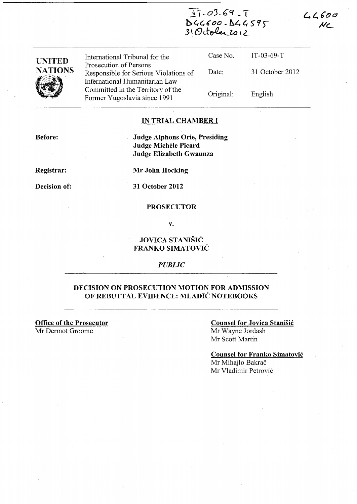$Tr - 03.69 - T$ *bl,(,600* **-** b.~ *t, 5t:()"*  .3 { (9J-~l.o \ *L* 

 $44600$  $MC$ 

| <b>UNITED</b>  | International Tribunal for the                                                                    | Case No.  | $IT-03-69-T$    |
|----------------|---------------------------------------------------------------------------------------------------|-----------|-----------------|
| <b>NATIONS</b> | Prosecution of Persons<br>Responsible for Serious Violations of<br>International Humanitarian Law | Date:     | 31 October 2012 |
|                | Committed in the Territory of the<br>Former Yugoslavia since 1991                                 | Original: | English         |

### **IN TRIAL CHAMBER I**

**Before:** 

**Judge Alphons Orie, Presiding Judge Michèle Picard Judge Elizabeth Gwaunza** 

**Registrar:** 

**Mr John Hocking** 

**Decision of:** 

**31 October 2012** 

#### **PROSECUTOR**

**v.** 

### **JOVICA STANISIC FRANKO SIMATOVIC**

*PUBLIC* 

### **DECISION ON PROSECUTION MOTION FOR ADMISSION OF REBUTTAL EVIDENCE: MLADIC NOTEBOOKS**

**Office of the Prosecutor** 

Mr Dermot Groome

#### **Counsel for Jovica Stanisic**  Mr Wayne lordash

Mr Scott Martin

**Counsel for Franko Simatovic**  Mr Mihajlo Bakrač Mr Vladimir Petrovic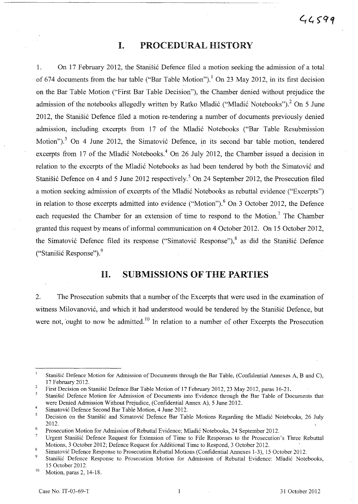## I. PROCEDURAL HISTORY

1. On 17 February 2012, the Stanisic Defence filed a motion seeking the admission of a total of 674 documents from the bar table ("Bar Table Motion").<sup>1</sup> On 23 May 2012, in its first decision on the Bar Table Motion ("First Bar Table Decision"), the Chamber denied without prejudice the admission of the notebooks allegedly written by Ratko Mladić ("Mladić Notebooks").<sup>2</sup> On 5 June 2012, the Stanišić Defence filed a motion re-tendering a number of documents previously denied admission, including excerpts from 17 of the Mladić Notebooks ("Bar Table Resubmission Motion").<sup>3</sup> On 4 June 2012, the Simatović Defence, in its second bar table motion, tendered excerpts from 17 of the Mladić Notebooks.<sup>4</sup> On 26 July 2012, the Chamber issued a decision in relation to the excerpts of the Mladic Notebooks as had been tendered by both the Simatovic and Stanišić Defence on 4 and 5 June 2012 respectively.<sup>5</sup> On 24 September 2012, the Prosecution filed a motion seeking admission of excerpts of the Mladic Notebooks as rebuttal evidence ("Excerpts") in relation to those excerpts admitted into evidence ("Motion").<sup>6</sup> On 3 October 2012, the Defence each requested the Chamber for an extension of time to respond to the Motion.<sup>7</sup> The Chamber granted this request by means of informal communication on 4 October 2012. On 15 October 2012, the Simatovic Defence filed its response ("Simatovic Response"), 8 as· did the Stanisic Defence ("Stanišić Response").<sup>9</sup>

# 11. SUBMISSIONS OF THE PARTIES

2. The Prosecution submits that a number of the Excerpts that were used in the examination of witness Milovanović, and which it had understood would be tendered by the Stanišić Defence, but were not, ought to now be admitted.<sup>10</sup> In relation to a number of other Excerpts the Prosecution

 $\mathbf{I}$ Stanišić Defence Motion for Admission of Documents through the Bar Table, (Confidential Annexes A, B and C), 17 February 2012.

<sup>2</sup>  First Decision on Stanišić Defence Bar Table Motion of 17 February 2012, 23 May 2012, paras 16-21.

 $\overline{\mathbf{3}}$ Stani§ic Defence Motion for Admission of Documents into Evidence through the Bar Table of Documents that were Denied Admission Without Prejudice, (Confidential Annex A), 5 June 2012. 4

Simatovic Defence Second Bar Table Motion, 4 June 2012.

<sup>5</sup> Decision on the Stanišić and Simatović Defence Bar Table Motions Regarding the Mladić Notebooks, 26 July 2012.

 $\epsilon$ Prosecution Motion for Admission of Rebuttal Evidence; Mladic Notebooks, 24 September 2012.

 $\overline{7}$ Urgent Stani§ic Defence Request for Extension of Time to File Responses to the Prosecution's Three Rebuttal Motions,3 October 2012; Defence Request for Additional Time to Respond, 3 October 2012. 8

Simatovic Defence Response to Prosecution Rebuttal Motions (Confidential Annexes 1-3), 15 October 2012.

<sup>9</sup>  Stani§ic Defence Response to Prosecution Motion for Admission of Rebuttal Evidence: Mladic Notebooks, 15 October 2012.

 $10$  Motion, paras 2, 14-18.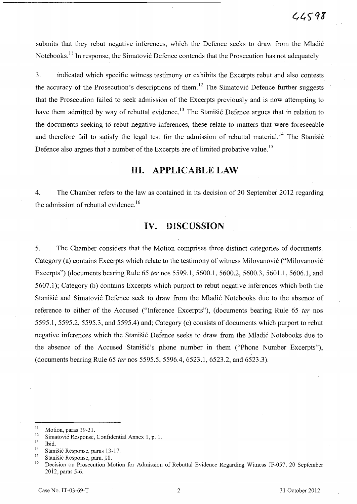submits that they rebut negative inferences, which the Defence seeks to draw from the Mladić Notebooks.<sup>11</sup> In response, the Simatović Defence contends that the Prosecution has not adequately

3. indicated which specific witness testimony or exhibits the Excerpts rebut and also contests the accuracy of the Prosecution's descriptions of them.<sup>12</sup> The Simatović Defence further suggests that the Prosecution failed to seek admission of the Excerpts previously and is now attempting to have them admitted by way of rebuttal evidence.<sup>13</sup> The Stanisic Defence argues that in relation to the documents seeking to rebut negative inferences, these relate to matters that were foreseeable and therefore fail to satisfy the legal test for the admission of rebuttal material.<sup>14</sup> The Stanišić Defence also argues that a number of the Excerpts are of limited probative value.<sup>15</sup>

# **Ill. APPLICABLE LAW**

4. The Chamber refers to the law as contained in its decision of 20 September 2012 regarding the admission of rebuttal evidence.<sup>16</sup>

## **IV. DISCUSSION**

5. The Chamber considers that the Motion comprises three distinct categories of documents. Category (a) contains Excerpts which relate to the testimony of witness Milovanović ("Milovanović Excerpts") (documents bearing Rule 65 *ter* nos 5599.1, 5600.1, 5600.2, 5600.3, 5601.1, 5606.1, and 5607.1); Category (b) contains Excerpts which purport to rebut negative inferences which both the Stanišić and Simatović Defence seek to draw from the Mladić Notebooks due to the absence of reference to either of the Accused ("Inference Excerpts"), (documents bearing Rule 65 *ter* nos 5595.1,5595.2,5595.3, and 5595.4) and; Category (c) consists of documents which purport to rebut negative inferences which the Stanišić Defence seeks to draw from the Mladić Notebooks due to the absence of the Accused Stanisic's phone number in them ("Phone Number Excerpts"), (documents bearing Rule 65 *ter* nos 5595.5, 5596.4, 6523.1, 6523.2, and 6523.3).

<sup>&</sup>lt;sup>11</sup> Motion, paras 19-31.

<sup>&</sup>lt;sup>12</sup> Simatović Response, Confidential Annex 1, p. 1.<br><sup>13</sup> Li4

 $\frac{13}{14}$  Ibid.

<sup>&</sup>lt;sup>14</sup> Stanišić Response, paras 13-17.

<sup>&</sup>lt;sup>15</sup> Stanišić Response, para. 18.<br><sup>16</sup> Decision on Presecution M.

<sup>16</sup> Decision on Prosecution Motion for Admission of Rebuttal Evidence Regarding Witness JF-057, 20 September 2012, paras 5-6.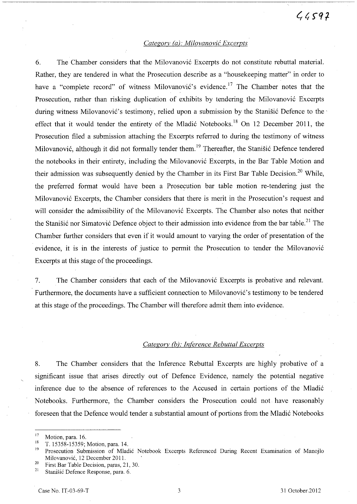#### *Categorv Ca): Milovanovic Excerpts*

6. The Chamber considers that the Milovanović Excerpts do not constitute rebuttal material. Rather, they are tendered in what the Prosecution describe as a "housekeeping matter" in order to have a "complete record" of witness Milovanović's evidence.<sup>17</sup> The Chamber notes that the Prosecution, rather than risking duplication of exhibits by tendering the Milovanović Excerpts during witness Milovanović's testimony, relied upon a submission by the Stanišić Defence to the effect that it would tender the entirety of the Mladić Notebooks.<sup>18</sup> On 12 December 2011, the Prosecution filed a submission attaching the Excerpts referred to during the testimony of witness Milovanović, although it did not formally tender them.<sup>19</sup> Thereafter, the Stanišić Defence tendered the notebooks in their entirety, including the Milovanović Excerpts, in the Bar Table Motion and their admission was subsequently denied by the Chamber in its First Bar Table Decision.<sup>20</sup> While, the preferred format would have been a Prosecution bar table motion re-tendering just the Milovanovi6 Excerpts, the Chamber considers that there is merit in the Prosecution's request and will consider the admissibility of the Milovanović Excerpts. The Chamber also notes that neither the Stanišić nor Simatović Defence object to their admission into evidence from the bar table.<sup>21</sup> The Chamber further considers that even if it would amount to varying the order of presentation of the evidence, it is in the interests of justice to permit the Prosecution to tender the Milovanović Excerpts at this stage of the proceedings.

7. The Chamber considers that each of the Milovanović Excerpts is probative and relevant. Furthermore, the documents have a sufficient connection to Milovanović's testimony to be tendered at this stage of the proceedings. The Chamber will therefore admit them into evidence.

#### *Category (Q): Inference Rebuttal Excerpts*

8. The Chamber considers that the Inference Rebuttal Excerpts are highly probative of a significant issue that arises directly out of Defence Evidence, namely the potential negative inference due to the absence of references to the Accused in certain portions of the Mladić Notebooks. Furthermore, the Chamber considers the Prosecution could not have reasonably foreseen that the Defence would tender a substantial amount of portions from the Mladic Notebooks

 $17$  Motion, para. 16.

 $^{18}$  T. 15358-15359; Motion, para. 14.

<sup>19</sup>Prosecution Submission of Mladic Notebook Excerpts Referenced During Recent Examination of Manojlo Milovanović, 12 December 2011.

<sup>&</sup>lt;sup>20</sup> First Bar Table Decision, paras, 21, 30.<br><sup>21</sup> Stanišić Defense Bername para 6

Stanišić Defence Response, para. 6.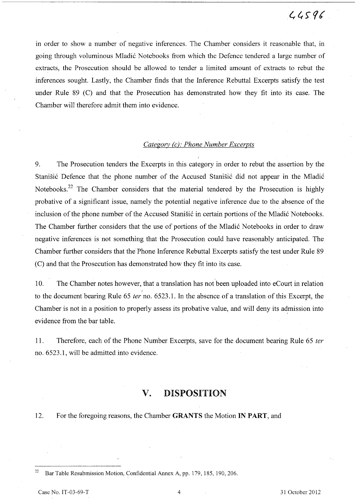in order to show a number of negative inferences. The Chamber considers it reasonable that, in going through voluminous Mladic Notebooks from which the Defence tendered a large number of extracts, the Prosecution should be allowed to tender a limited amount of extracts to rebut the inferences sought. Lastly, the Chamber finds that the Inference Rebuttal Excerpts satisfy the test under Rule 89 (C) and that the Prosecution has demonstrated how they fit into its case. The Chamber will therefore admit them into evidence.

#### *Categ01Y (c): Phone Number Excerpts*

9. The Prosecution tenders the Excerpts in this category in order to rebut the assertion by the Stanisic Defence that the phone number of the Accused Stanisic did not appear in the Mladic Notebooks.22 The Chamber considers that the material tendered by the Prosecution is highly probative of a significant issue, namely the potential negative inference due to the absence of the inclusion of the phone number of the Accused Stanisic in certain portions of the Mladic Notebooks. The Chamber further considers that the use of portions of the Mladic Notebooks in order to draw negative inferences is not something that the Prosecution could have reasonably anticipated. The Chamber further considers that the Phone Inference Rebuttal Excerpts satisfy the test under Rule 89 (C) and that the Prosecution has demonstrated how they fit into its case.

10. The Chamber notes however, that a translation has not been uploaded into eCourt in relation to the document bearing Rule 65 *ter* no. 6523.1. In the absence of a translation of this Excerpt, the Chamber is not in a position to properly assess its probative value, and will deny its admission into evidence from the bar table.

11. Therefore, each of the Phone Number Excerpts, save for the document bearing Rule 65 *ter*  no. 6523.1, will be admitted into evidence.

## **v. DISPOSITION**

12. For the foregoing reasons, the Chamber GRANTS the Motion **IN** PART, and

**<sup>22</sup> Bar Table Resubmission Motion, Confidential Annex A, pp. 179, 185, 190,206.**